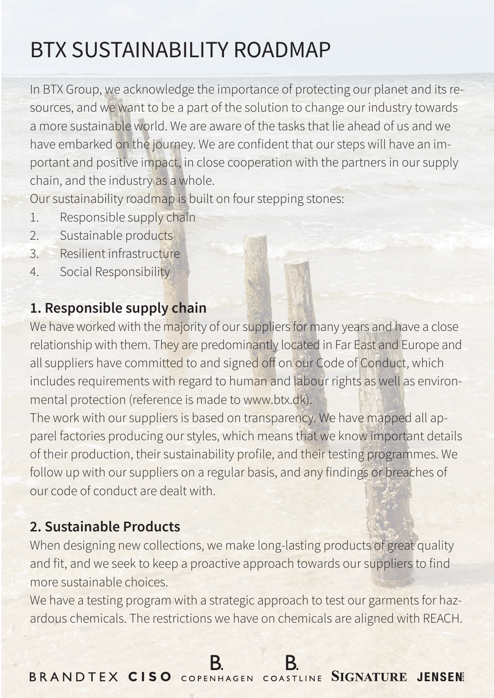# BTX SUSTAINABILITY ROADMAP

In BTX Group, we acknowledge the importance of protecting our planet and its resources, and we want to be a part of the solution to change our industry towards a more sustainable world. We are aware of the tasks that lie ahead of us and we have embarked on the journey. We are confident that our steps will have an important and positive impact, in close cooperation with the partners in our supply chain, and the industry as a whole.

Our sustainability roadmap is built on four stepping stones:

- 1. Responsible supply chain
- 2. Sustainable products
- 3. Resilient infrastructure
- 4. Social Responsibility

## **1. Responsible supply chain**

We have worked with the majority of our suppliers for many years and have a close relationship with them. They are predominantly located in Far East and Europe and all suppliers have committed to and signed off on our Code of Conduct, which includes requirements with regard to human and labour rights as well as environmental protection (reference is made to www.btx.dk).

The work with our suppliers is based on transparency. We have mapped all apparel factories producing our styles, which means that we know important details of their production, their sustainability profile, and their testing programmes. We follow up with our suppliers on a regular basis, and any findings or breaches of our code of conduct are dealt with.

# **2. Sustainable Products**

When designing new collections, we make long-lasting products of great quality and fit, and we seek to keep a proactive approach towards our suppliers to find more sustainable choices.

We have a testing program with a strategic approach to test our garments for hazardous chemicals. The restrictions we have on chemicals are aligned with REACH.

BRANDTEX CISO COPENHAGEN COASTLINE SIGNATURE JENSEN